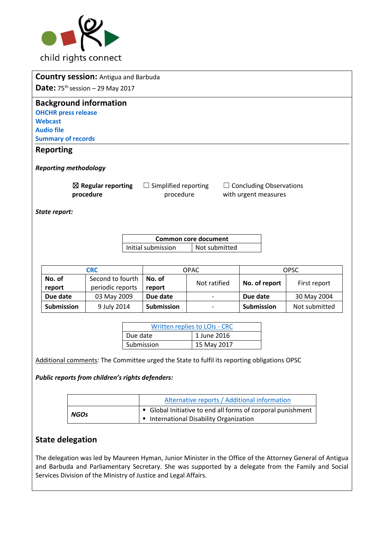

|                                                                                                                                                                   |                                                                                                |            | <b>Country session: Antigua and Barbuda</b>      |                                                                    |                                                                                                              |                                                                                             |                   |               |  |
|-------------------------------------------------------------------------------------------------------------------------------------------------------------------|------------------------------------------------------------------------------------------------|------------|--------------------------------------------------|--------------------------------------------------------------------|--------------------------------------------------------------------------------------------------------------|---------------------------------------------------------------------------------------------|-------------------|---------------|--|
|                                                                                                                                                                   |                                                                                                |            | <b>Date:</b> $75^{th}$ session – 29 May 2017     |                                                                    |                                                                                                              |                                                                                             |                   |               |  |
|                                                                                                                                                                   | <b>OHCHR press release</b><br><b>Webcast</b><br><b>Audio file</b><br><b>Summary of records</b> |            | <b>Background information</b>                    |                                                                    |                                                                                                              |                                                                                             |                   |               |  |
|                                                                                                                                                                   | <b>Reporting</b>                                                                               |            |                                                  |                                                                    |                                                                                                              |                                                                                             |                   |               |  |
|                                                                                                                                                                   |                                                                                                |            |                                                  |                                                                    |                                                                                                              |                                                                                             |                   |               |  |
|                                                                                                                                                                   | <b>Reporting methodology</b>                                                                   |            |                                                  |                                                                    |                                                                                                              |                                                                                             |                   |               |  |
| $\boxtimes$ Regular reporting<br>$\Box$ Simplified reporting<br>$\Box$ Concluding Observations<br>procedure<br>procedure<br>with urgent measures<br>State report: |                                                                                                |            |                                                  |                                                                    |                                                                                                              |                                                                                             |                   |               |  |
|                                                                                                                                                                   |                                                                                                |            |                                                  |                                                                    |                                                                                                              |                                                                                             |                   |               |  |
|                                                                                                                                                                   |                                                                                                |            |                                                  | <b>Common core document</b><br>Initial submission<br>Not submitted |                                                                                                              |                                                                                             |                   |               |  |
|                                                                                                                                                                   |                                                                                                |            |                                                  |                                                                    |                                                                                                              |                                                                                             |                   |               |  |
|                                                                                                                                                                   |                                                                                                | <b>CRC</b> |                                                  |                                                                    | <b>OPAC</b>                                                                                                  |                                                                                             | <b>OPSC</b>       |               |  |
|                                                                                                                                                                   | No. of<br>report                                                                               |            | Second to fourth<br>periodic reports             |                                                                    | No. of<br>report                                                                                             | Not ratified                                                                                | No. of report     | First report  |  |
|                                                                                                                                                                   | Due date                                                                                       |            | 03 May 2009                                      |                                                                    | Due date                                                                                                     |                                                                                             | Due date          | 30 May 2004   |  |
|                                                                                                                                                                   | <b>Submission</b>                                                                              |            | 9 July 2014                                      |                                                                    | <b>Submission</b>                                                                                            |                                                                                             | <b>Submission</b> | Not submitted |  |
| <b>Written replies to LOIs - CRC</b><br>Due date<br>1 June 2016<br>Submission<br>15 May 2017                                                                      |                                                                                                |            |                                                  |                                                                    |                                                                                                              |                                                                                             |                   |               |  |
|                                                                                                                                                                   |                                                                                                |            |                                                  |                                                                    |                                                                                                              |                                                                                             |                   |               |  |
|                                                                                                                                                                   |                                                                                                |            | Public reports from children's rights defenders: |                                                                    |                                                                                                              | Additional comments: The Committee urged the State to fulfil its reporting obligations OPSC |                   |               |  |
|                                                                                                                                                                   |                                                                                                |            |                                                  |                                                                    | Alternative reports / Additional information                                                                 |                                                                                             |                   |               |  |
|                                                                                                                                                                   | <b>NGOs</b>                                                                                    |            |                                                  |                                                                    | Global Initiative to end all forms of corporal punishment<br>٠<br>International Disability Organization<br>٠ |                                                                                             |                   |               |  |

# **State delegation**

The delegation was led by Maureen Hyman, Junior Minister in the Office of the Attorney General of Antigua and Barbuda and Parliamentary Secretary. She was supported by a delegate from the Family and Social Services Division of the Ministry of Justice and Legal Affairs.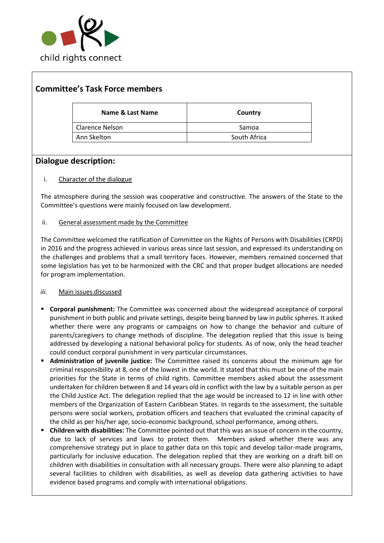

# **Committee's Task Force members**

| Name & Last Name  | Country      |
|-------------------|--------------|
| l Clarence Nelson | Samoa        |
| Ann Skelton       | South Africa |

## **Dialogue description:**

### i. Character of the dialogue

The atmosphere during the session was cooperative and constructive. The answers of the State to the Committee's questions were mainly focused on law development.

### ii. General assessment made by the Committee

The Committee welcomed the ratification of Committee on the Rights of Persons with Disabilities (CRPD) in 2016 and the progress achieved in various areas since last session, and expressed its understanding on the challenges and problems that a small territory faces. However, members remained concerned that some legislation has yet to be harmonized with the CRC and that proper budget allocations are needed for program implementation.

### *iii.* Main issues discussed

- **Corporal punishment:** The Committee was concerned about the widespread acceptance of corporal punishment in both public and private settings, despite being banned by law in public spheres. It asked whether there were any programs or campaigns on how to change the behavior and culture of parents/caregivers to change methods of discipline. The delegation replied that this issue is being addressed by developing a national behavioral policy for students. As of now, only the head teacher could conduct corporal punishment in very particular circumstances.
- **Administration of juvenile justice:** The Committee raised its concerns about the minimum age for criminal responsibility at 8, one of the lowest in the world. It stated that this must be one of the main priorities for the State in terms of child rights. Committee members asked about the assessment undertaken for children between 8 and 14 years old in conflict with the law by a suitable person as per the Child Justice Act. The delegation replied that the age would be increased to 12 in line with other members of the Organization of Eastern Caribbean States. In regards to the assessment, the suitable persons were social workers, probation officers and teachers that evaluated the criminal capacity of the child as per his/her age, socio-economic background, school performance, among others.
- **Children with disabilities:** The Committee pointed out that this was an issue of concern in the country, due to lack of services and laws to protect them. Members asked whether there was any comprehensive strategy put in place to gather data on this topic and develop tailor-made programs, particularly for inclusive education. The delegation replied that they are working on a draft bill on children with disabilities in consultation with all necessary groups. There were also planning to adapt several facilities to children with disabilities, as well as develop data gathering activities to have evidence based programs and comply with international obligations.